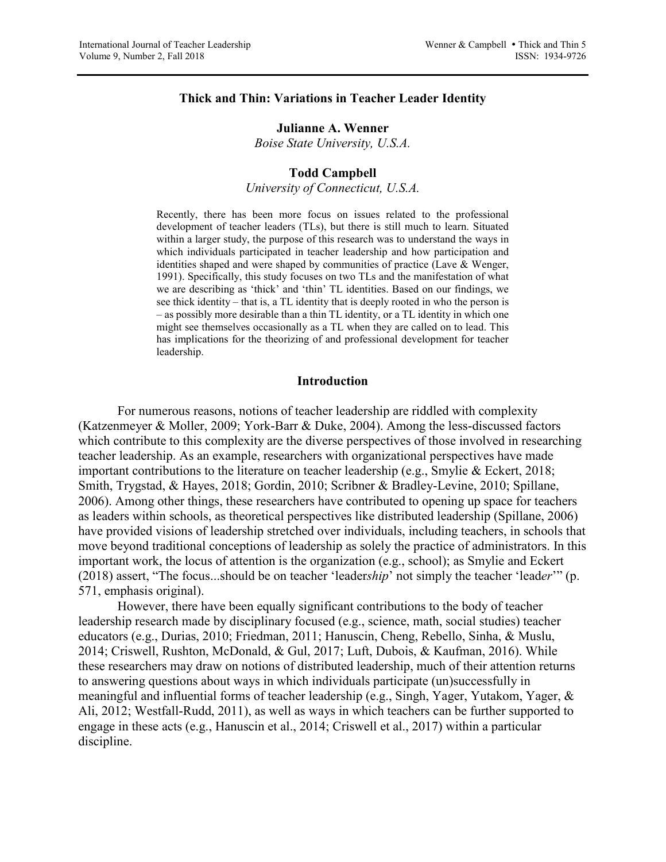### **Thick and Thin: Variations in Teacher Leader Identity**

### **Julianne A. Wenner**

*Boise State University, U.S.A.*

### **Todd Campbell**

*University of Connecticut, U.S.A.*

Recently, there has been more focus on issues related to the professional development of teacher leaders (TLs), but there is still much to learn. Situated within a larger study, the purpose of this research was to understand the ways in which individuals participated in teacher leadership and how participation and identities shaped and were shaped by communities of practice (Lave & Wenger, 1991). Specifically, this study focuses on two TLs and the manifestation of what we are describing as 'thick' and 'thin' TL identities. Based on our findings, we see thick identity – that is, a TL identity that is deeply rooted in who the person is – as possibly more desirable than a thin TL identity, or a TL identity in which one might see themselves occasionally as a TL when they are called on to lead. This has implications for the theorizing of and professional development for teacher leadership.

#### **Introduction**

For numerous reasons, notions of teacher leadership are riddled with complexity (Katzenmeyer & Moller, 2009; York-Barr & Duke, 2004). Among the less-discussed factors which contribute to this complexity are the diverse perspectives of those involved in researching teacher leadership. As an example, researchers with organizational perspectives have made important contributions to the literature on teacher leadership (e.g., Smylie & Eckert, 2018; Smith, Trygstad, & Hayes, 2018; Gordin, 2010; Scribner & Bradley-Levine, 2010; Spillane, 2006). Among other things, these researchers have contributed to opening up space for teachers as leaders within schools, as theoretical perspectives like distributed leadership (Spillane, 2006) have provided visions of leadership stretched over individuals, including teachers, in schools that move beyond traditional conceptions of leadership as solely the practice of administrators. In this important work, the locus of attention is the organization (e.g., school); as Smylie and Eckert (2018) assert, "The focus...should be on teacher 'leader*ship*' not simply the teacher 'lead*er*'" (p. 571, emphasis original).

However, there have been equally significant contributions to the body of teacher leadership research made by disciplinary focused (e.g., science, math, social studies) teacher educators (e.g., Durias, 2010; Friedman, 2011; Hanuscin, Cheng, Rebello, Sinha, & Muslu, 2014; Criswell, Rushton, McDonald, & Gul, 2017; Luft, Dubois, & Kaufman, 2016). While these researchers may draw on notions of distributed leadership, much of their attention returns to answering questions about ways in which individuals participate (un)successfully in meaningful and influential forms of teacher leadership (e.g., Singh, Yager, Yutakom, Yager, & Ali, 2012; Westfall-Rudd, 2011), as well as ways in which teachers can be further supported to engage in these acts (e.g., Hanuscin et al., 2014; Criswell et al., 2017) within a particular discipline.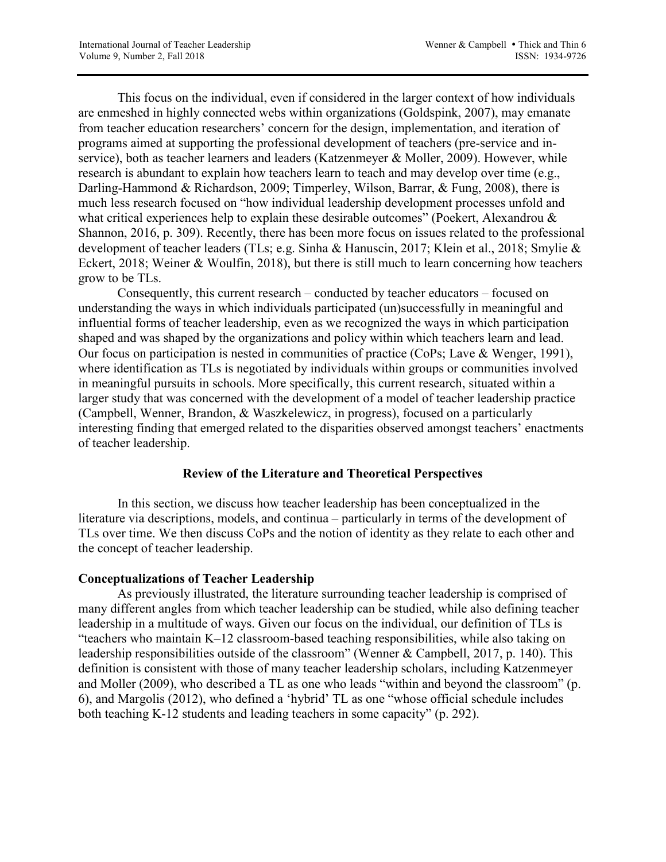This focus on the individual, even if considered in the larger context of how individuals are enmeshed in highly connected webs within organizations (Goldspink, 2007), may emanate from teacher education researchers' concern for the design, implementation, and iteration of programs aimed at supporting the professional development of teachers (pre-service and inservice), both as teacher learners and leaders (Katzenmeyer & Moller, 2009). However, while research is abundant to explain how teachers learn to teach and may develop over time (e.g., Darling-Hammond & Richardson, 2009; Timperley, Wilson, Barrar, & Fung, 2008), there is much less research focused on "how individual leadership development processes unfold and what critical experiences help to explain these desirable outcomes" (Poekert, Alexandrou & Shannon, 2016, p. 309). Recently, there has been more focus on issues related to the professional development of teacher leaders (TLs; e.g. Sinha & Hanuscin, 2017; Klein et al., 2018; Smylie & Eckert, 2018; Weiner & Woulfin, 2018), but there is still much to learn concerning how teachers grow to be TLs.

Consequently, this current research – conducted by teacher educators – focused on understanding the ways in which individuals participated (un)successfully in meaningful and influential forms of teacher leadership, even as we recognized the ways in which participation shaped and was shaped by the organizations and policy within which teachers learn and lead. Our focus on participation is nested in communities of practice (CoPs; Lave & Wenger, 1991), where identification as TLs is negotiated by individuals within groups or communities involved in meaningful pursuits in schools. More specifically, this current research, situated within a larger study that was concerned with the development of a model of teacher leadership practice (Campbell, Wenner, Brandon, & Waszkelewicz, in progress), focused on a particularly interesting finding that emerged related to the disparities observed amongst teachers' enactments of teacher leadership.

# **Review of the Literature and Theoretical Perspectives**

In this section, we discuss how teacher leadership has been conceptualized in the literature via descriptions, models, and continua – particularly in terms of the development of TLs over time. We then discuss CoPs and the notion of identity as they relate to each other and the concept of teacher leadership.

# **Conceptualizations of Teacher Leadership**

As previously illustrated, the literature surrounding teacher leadership is comprised of many different angles from which teacher leadership can be studied, while also defining teacher leadership in a multitude of ways. Given our focus on the individual, our definition of TLs is "teachers who maintain K–12 classroom-based teaching responsibilities, while also taking on leadership responsibilities outside of the classroom" (Wenner & Campbell, 2017, p. 140). This definition is consistent with those of many teacher leadership scholars, including Katzenmeyer and Moller (2009), who described a TL as one who leads "within and beyond the classroom" (p. 6), and Margolis (2012), who defined a 'hybrid' TL as one "whose official schedule includes both teaching K-12 students and leading teachers in some capacity" (p. 292).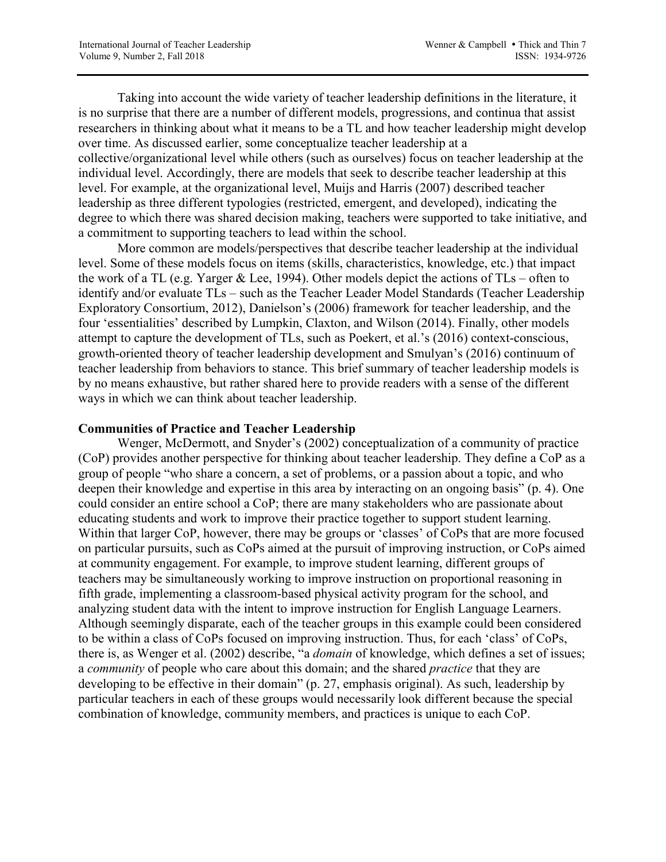Taking into account the wide variety of teacher leadership definitions in the literature, it is no surprise that there are a number of different models, progressions, and continua that assist researchers in thinking about what it means to be a TL and how teacher leadership might develop over time. As discussed earlier, some conceptualize teacher leadership at a collective/organizational level while others (such as ourselves) focus on teacher leadership at the individual level. Accordingly, there are models that seek to describe teacher leadership at this level. For example, at the organizational level, Muijs and Harris (2007) described teacher leadership as three different typologies (restricted, emergent, and developed), indicating the degree to which there was shared decision making, teachers were supported to take initiative, and a commitment to supporting teachers to lead within the school.

More common are models/perspectives that describe teacher leadership at the individual level. Some of these models focus on items (skills, characteristics, knowledge, etc.) that impact the work of a TL (e.g. Yarger & Lee, 1994). Other models depict the actions of TLs – often to identify and/or evaluate TLs – such as the Teacher Leader Model Standards (Teacher Leadership Exploratory Consortium, 2012), Danielson's (2006) framework for teacher leadership, and the four 'essentialities' described by Lumpkin, Claxton, and Wilson (2014). Finally, other models attempt to capture the development of TLs, such as Poekert, et al.'s (2016) context-conscious, growth-oriented theory of teacher leadership development and Smulyan's (2016) continuum of teacher leadership from behaviors to stance. This brief summary of teacher leadership models is by no means exhaustive, but rather shared here to provide readers with a sense of the different ways in which we can think about teacher leadership.

# **Communities of Practice and Teacher Leadership**

Wenger, McDermott, and Snyder's (2002) conceptualization of a community of practice (CoP) provides another perspective for thinking about teacher leadership. They define a CoP as a group of people "who share a concern, a set of problems, or a passion about a topic, and who deepen their knowledge and expertise in this area by interacting on an ongoing basis" (p. 4). One could consider an entire school a CoP; there are many stakeholders who are passionate about educating students and work to improve their practice together to support student learning. Within that larger CoP, however, there may be groups or 'classes' of CoPs that are more focused on particular pursuits, such as CoPs aimed at the pursuit of improving instruction, or CoPs aimed at community engagement. For example, to improve student learning, different groups of teachers may be simultaneously working to improve instruction on proportional reasoning in fifth grade, implementing a classroom-based physical activity program for the school, and analyzing student data with the intent to improve instruction for English Language Learners. Although seemingly disparate, each of the teacher groups in this example could been considered to be within a class of CoPs focused on improving instruction. Thus, for each 'class' of CoPs, there is, as Wenger et al. (2002) describe, "a *domain* of knowledge, which defines a set of issues; a *community* of people who care about this domain; and the shared *practice* that they are developing to be effective in their domain" (p. 27, emphasis original). As such, leadership by particular teachers in each of these groups would necessarily look different because the special combination of knowledge, community members, and practices is unique to each CoP.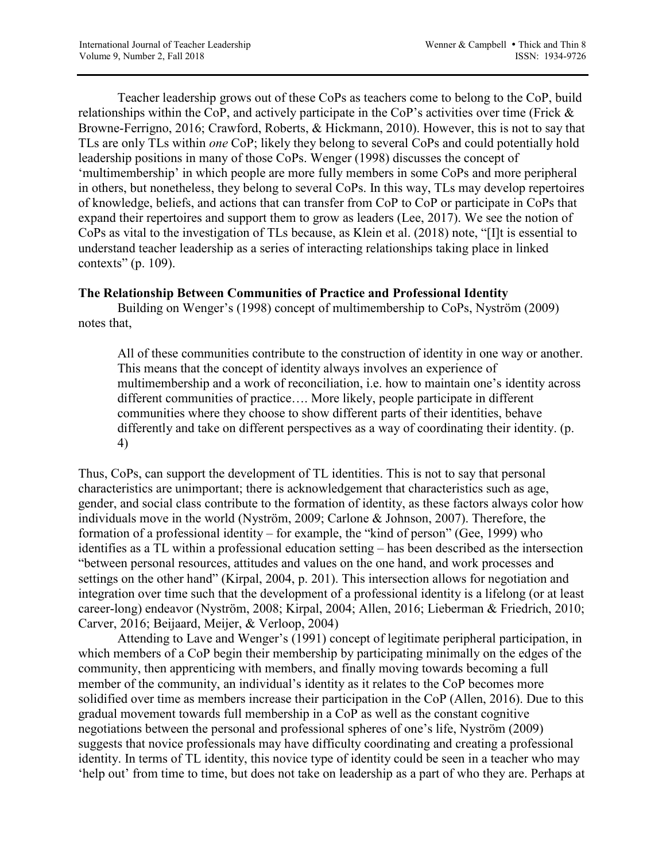Teacher leadership grows out of these CoPs as teachers come to belong to the CoP, build relationships within the CoP, and actively participate in the CoP's activities over time (Frick & Browne-Ferrigno, 2016; Crawford, Roberts, & Hickmann, 2010). However, this is not to say that TLs are only TLs within *one* CoP; likely they belong to several CoPs and could potentially hold leadership positions in many of those CoPs. Wenger (1998) discusses the concept of 'multimembership' in which people are more fully members in some CoPs and more peripheral in others, but nonetheless, they belong to several CoPs. In this way, TLs may develop repertoires of knowledge, beliefs, and actions that can transfer from CoP to CoP or participate in CoPs that expand their repertoires and support them to grow as leaders (Lee, 2017). We see the notion of CoPs as vital to the investigation of TLs because, as Klein et al. (2018) note, "[I]t is essential to understand teacher leadership as a series of interacting relationships taking place in linked contexts" (p. 109).

## **The Relationship Between Communities of Practice and Professional Identity**

Building on Wenger's (1998) concept of multimembership to CoPs, Nyström (2009) notes that,

All of these communities contribute to the construction of identity in one way or another. This means that the concept of identity always involves an experience of multimembership and a work of reconciliation, i.e. how to maintain one's identity across different communities of practice…. More likely, people participate in different communities where they choose to show different parts of their identities, behave differently and take on different perspectives as a way of coordinating their identity. (p. 4)

Thus, CoPs, can support the development of TL identities. This is not to say that personal characteristics are unimportant; there is acknowledgement that characteristics such as age, gender, and social class contribute to the formation of identity, as these factors always color how individuals move in the world (Nyström, 2009; Carlone & Johnson, 2007). Therefore, the formation of a professional identity – for example, the "kind of person" (Gee, 1999) who identifies as a TL within a professional education setting – has been described as the intersection "between personal resources, attitudes and values on the one hand, and work processes and settings on the other hand" (Kirpal, 2004, p. 201). This intersection allows for negotiation and integration over time such that the development of a professional identity is a lifelong (or at least career-long) endeavor (Nyström, 2008; Kirpal, 2004; Allen, 2016; Lieberman & Friedrich, 2010; Carver, 2016; Beijaard, Meijer, & Verloop, 2004)

Attending to Lave and Wenger's (1991) concept of legitimate peripheral participation, in which members of a CoP begin their membership by participating minimally on the edges of the community, then apprenticing with members, and finally moving towards becoming a full member of the community, an individual's identity as it relates to the CoP becomes more solidified over time as members increase their participation in the CoP (Allen, 2016). Due to this gradual movement towards full membership in a CoP as well as the constant cognitive negotiations between the personal and professional spheres of one's life, Nyström (2009) suggests that novice professionals may have difficulty coordinating and creating a professional identity. In terms of TL identity, this novice type of identity could be seen in a teacher who may 'help out' from time to time, but does not take on leadership as a part of who they are. Perhaps at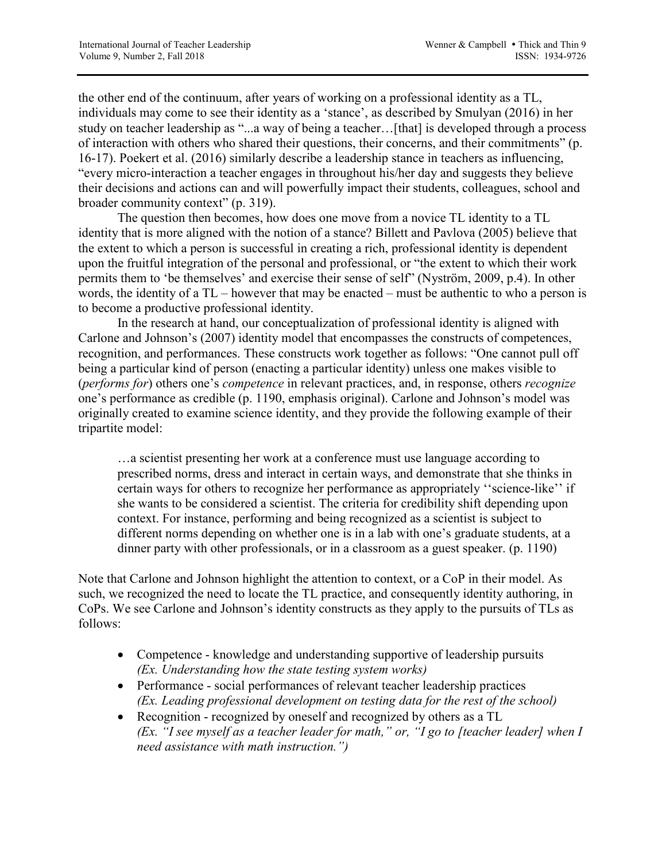the other end of the continuum, after years of working on a professional identity as a TL, individuals may come to see their identity as a 'stance', as described by Smulyan (2016) in her study on teacher leadership as "...a way of being a teacher…[that] is developed through a process of interaction with others who shared their questions, their concerns, and their commitments" (p. 16-17). Poekert et al. (2016) similarly describe a leadership stance in teachers as influencing, "every micro-interaction a teacher engages in throughout his/her day and suggests they believe their decisions and actions can and will powerfully impact their students, colleagues, school and broader community context" (p. 319).

The question then becomes, how does one move from a novice TL identity to a TL identity that is more aligned with the notion of a stance? Billett and Pavlova (2005) believe that the extent to which a person is successful in creating a rich, professional identity is dependent upon the fruitful integration of the personal and professional, or "the extent to which their work permits them to 'be themselves' and exercise their sense of self" (Nyström, 2009, p.4). In other words, the identity of a TL – however that may be enacted – must be authentic to who a person is to become a productive professional identity.

In the research at hand, our conceptualization of professional identity is aligned with Carlone and Johnson's (2007) identity model that encompasses the constructs of competences, recognition, and performances. These constructs work together as follows: "One cannot pull off being a particular kind of person (enacting a particular identity) unless one makes visible to (*performs for*) others one's *competence* in relevant practices, and, in response, others *recognize* one's performance as credible (p. 1190, emphasis original). Carlone and Johnson's model was originally created to examine science identity, and they provide the following example of their tripartite model:

…a scientist presenting her work at a conference must use language according to prescribed norms, dress and interact in certain ways, and demonstrate that she thinks in certain ways for others to recognize her performance as appropriately ''science-like'' if she wants to be considered a scientist. The criteria for credibility shift depending upon context. For instance, performing and being recognized as a scientist is subject to different norms depending on whether one is in a lab with one's graduate students, at a dinner party with other professionals, or in a classroom as a guest speaker. (p. 1190)

Note that Carlone and Johnson highlight the attention to context, or a CoP in their model. As such, we recognized the need to locate the TL practice, and consequently identity authoring, in CoPs. We see Carlone and Johnson's identity constructs as they apply to the pursuits of TLs as follows:

- Competence knowledge and understanding supportive of leadership pursuits *(Ex. Understanding how the state testing system works)*
- Performance social performances of relevant teacher leadership practices *(Ex. Leading professional development on testing data for the rest of the school)*
- Recognition recognized by oneself and recognized by others as a TL *(Ex. "I see myself as a teacher leader for math," or, "I go to [teacher leader] when I need assistance with math instruction.")*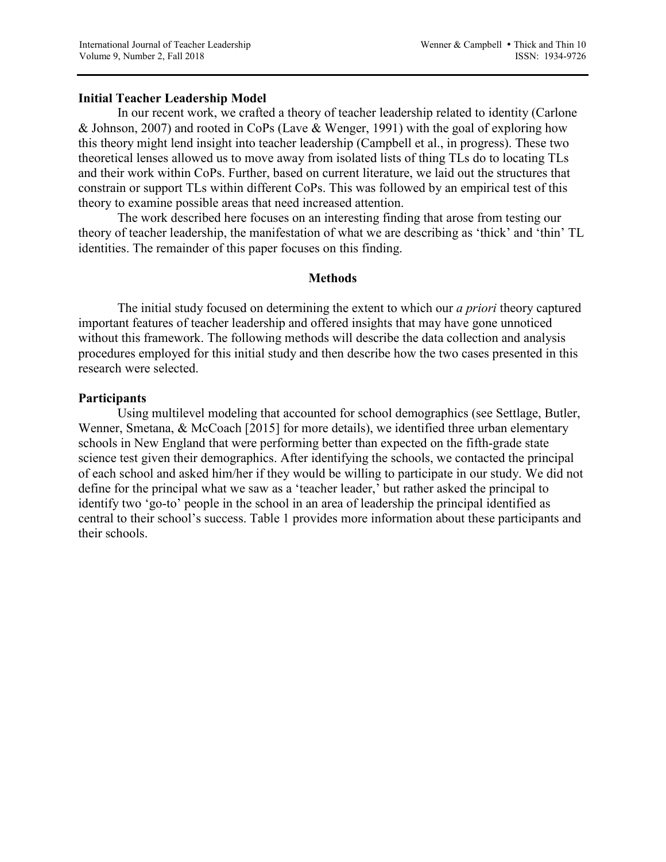### **Initial Teacher Leadership Model**

In our recent work, we crafted a theory of teacher leadership related to identity (Carlone & Johnson, 2007) and rooted in CoPs (Lave & Wenger, 1991) with the goal of exploring how this theory might lend insight into teacher leadership (Campbell et al., in progress). These two theoretical lenses allowed us to move away from isolated lists of thing TLs do to locating TLs and their work within CoPs. Further, based on current literature, we laid out the structures that constrain or support TLs within different CoPs. This was followed by an empirical test of this theory to examine possible areas that need increased attention.

The work described here focuses on an interesting finding that arose from testing our theory of teacher leadership, the manifestation of what we are describing as 'thick' and 'thin' TL identities. The remainder of this paper focuses on this finding.

### **Methods**

The initial study focused on determining the extent to which our *a priori* theory captured important features of teacher leadership and offered insights that may have gone unnoticed without this framework. The following methods will describe the data collection and analysis procedures employed for this initial study and then describe how the two cases presented in this research were selected.

### **Participants**

Using multilevel modeling that accounted for school demographics (see Settlage, Butler, Wenner, Smetana, & McCoach [2015] for more details), we identified three urban elementary schools in New England that were performing better than expected on the fifth-grade state science test given their demographics. After identifying the schools, we contacted the principal of each school and asked him/her if they would be willing to participate in our study. We did not define for the principal what we saw as a 'teacher leader,' but rather asked the principal to identify two 'go-to' people in the school in an area of leadership the principal identified as central to their school's success. Table 1 provides more information about these participants and their schools.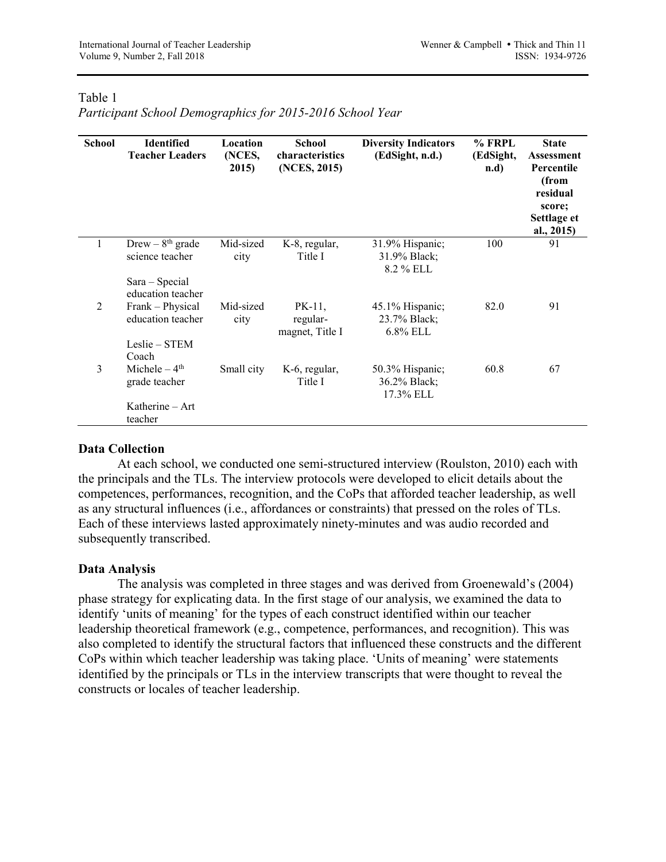# Table 1

*Participant School Demographics for 2015-2016 School Year*

| <b>School</b> | <b>Identified</b><br><b>Teacher Leaders</b>                                 | Location<br>(NCES,<br>2015) | <b>School</b><br>characteristics<br>(NCES, 2015) | <b>Diversity Indicators</b><br>(EdSight, n.d.) | $%$ FRPL<br>(EdSight,<br>n.d | <b>State</b><br>Assessment<br>Percentile<br>(from<br>residual<br>score;<br>Settlage et<br>al., 2015) |
|---------------|-----------------------------------------------------------------------------|-----------------------------|--------------------------------------------------|------------------------------------------------|------------------------------|------------------------------------------------------------------------------------------------------|
|               | Drew $-8$ <sup>th</sup> grade<br>science teacher<br>Sara - Special          | Mid-sized<br>city           | K-8, regular,<br>Title I                         | 31.9% Hispanic;<br>31.9% Black;<br>8.2 % ELL   | 100                          | 91                                                                                                   |
| 2             | education teacher<br>Frank – Physical<br>education teacher<br>Leslie - STEM | Mid-sized<br>city           | PK-11,<br>regular-<br>magnet, Title I            | 45.1% Hispanic;<br>23.7% Black;<br>$6.8\%$ ELL | 82.0                         | 91                                                                                                   |
| 3             | Coach<br>Michele $-4th$<br>grade teacher                                    | Small city                  | K-6, regular,<br>Title I                         | 50.3% Hispanic;<br>36.2% Black;<br>17.3% ELL   | 60.8                         | 67                                                                                                   |
|               | Katherine - Art<br>teacher                                                  |                             |                                                  |                                                |                              |                                                                                                      |

# **Data Collection**

At each school, we conducted one semi-structured interview (Roulston, 2010) each with the principals and the TLs. The interview protocols were developed to elicit details about the competences, performances, recognition, and the CoPs that afforded teacher leadership, as well as any structural influences (i.e., affordances or constraints) that pressed on the roles of TLs. Each of these interviews lasted approximately ninety-minutes and was audio recorded and subsequently transcribed.

### **Data Analysis**

The analysis was completed in three stages and was derived from Groenewald's (2004) phase strategy for explicating data. In the first stage of our analysis, we examined the data to identify 'units of meaning' for the types of each construct identified within our teacher leadership theoretical framework (e.g., competence, performances, and recognition). This was also completed to identify the structural factors that influenced these constructs and the different CoPs within which teacher leadership was taking place. 'Units of meaning' were statements identified by the principals or TLs in the interview transcripts that were thought to reveal the constructs or locales of teacher leadership.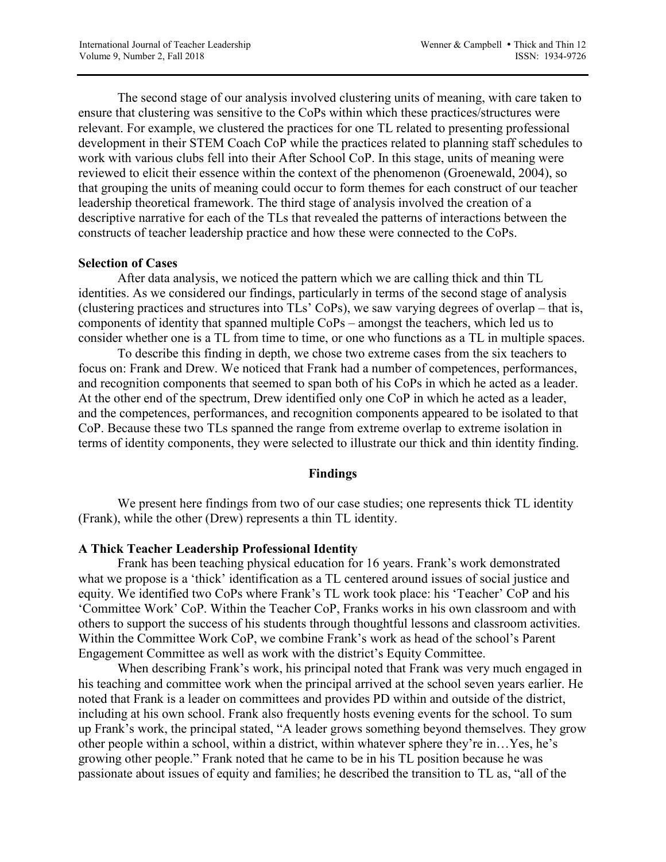The second stage of our analysis involved clustering units of meaning, with care taken to ensure that clustering was sensitive to the CoPs within which these practices/structures were relevant. For example, we clustered the practices for one TL related to presenting professional development in their STEM Coach CoP while the practices related to planning staff schedules to work with various clubs fell into their After School CoP. In this stage, units of meaning were reviewed to elicit their essence within the context of the phenomenon (Groenewald, 2004), so that grouping the units of meaning could occur to form themes for each construct of our teacher leadership theoretical framework. The third stage of analysis involved the creation of a descriptive narrative for each of the TLs that revealed the patterns of interactions between the constructs of teacher leadership practice and how these were connected to the CoPs.

### **Selection of Cases**

After data analysis, we noticed the pattern which we are calling thick and thin TL identities. As we considered our findings, particularly in terms of the second stage of analysis (clustering practices and structures into TLs' CoPs), we saw varying degrees of overlap – that is, components of identity that spanned multiple CoPs – amongst the teachers, which led us to consider whether one is a TL from time to time, or one who functions as a TL in multiple spaces.

To describe this finding in depth, we chose two extreme cases from the six teachers to focus on: Frank and Drew. We noticed that Frank had a number of competences, performances, and recognition components that seemed to span both of his CoPs in which he acted as a leader. At the other end of the spectrum, Drew identified only one CoP in which he acted as a leader, and the competences, performances, and recognition components appeared to be isolated to that CoP. Because these two TLs spanned the range from extreme overlap to extreme isolation in terms of identity components, they were selected to illustrate our thick and thin identity finding.

### **Findings**

We present here findings from two of our case studies; one represents thick TL identity (Frank), while the other (Drew) represents a thin TL identity.

### **A Thick Teacher Leadership Professional Identity**

Frank has been teaching physical education for 16 years. Frank's work demonstrated what we propose is a 'thick' identification as a TL centered around issues of social justice and equity. We identified two CoPs where Frank's TL work took place: his 'Teacher' CoP and his 'Committee Work' CoP. Within the Teacher CoP, Franks works in his own classroom and with others to support the success of his students through thoughtful lessons and classroom activities. Within the Committee Work CoP, we combine Frank's work as head of the school's Parent Engagement Committee as well as work with the district's Equity Committee.

When describing Frank's work, his principal noted that Frank was very much engaged in his teaching and committee work when the principal arrived at the school seven years earlier. He noted that Frank is a leader on committees and provides PD within and outside of the district, including at his own school. Frank also frequently hosts evening events for the school. To sum up Frank's work, the principal stated, "A leader grows something beyond themselves. They grow other people within a school, within a district, within whatever sphere they're in…Yes, he's growing other people." Frank noted that he came to be in his TL position because he was passionate about issues of equity and families; he described the transition to TL as, "all of the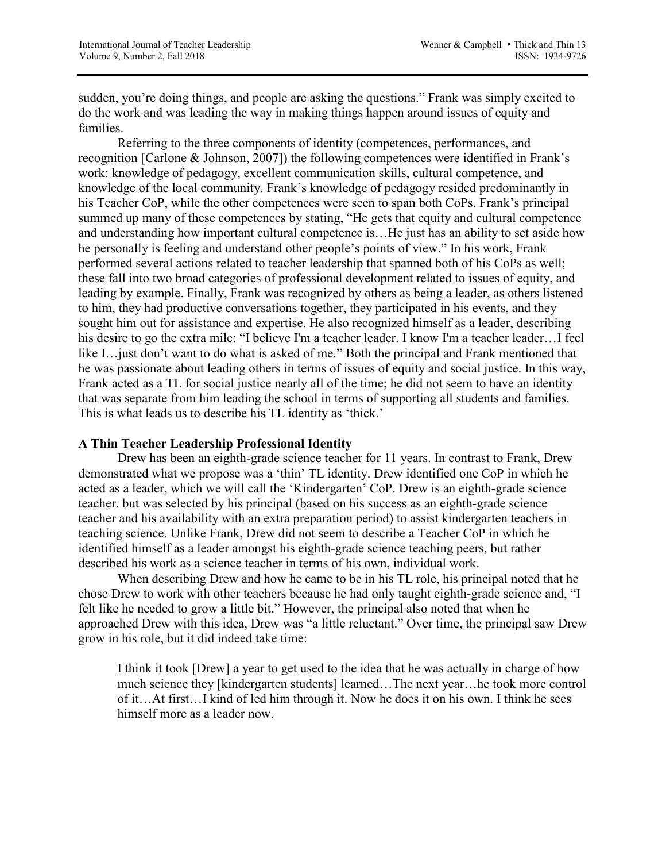sudden, you're doing things, and people are asking the questions." Frank was simply excited to do the work and was leading the way in making things happen around issues of equity and families.

Referring to the three components of identity (competences, performances, and recognition [Carlone & Johnson, 2007]) the following competences were identified in Frank's work: knowledge of pedagogy, excellent communication skills, cultural competence, and knowledge of the local community. Frank's knowledge of pedagogy resided predominantly in his Teacher CoP, while the other competences were seen to span both CoPs. Frank's principal summed up many of these competences by stating, "He gets that equity and cultural competence and understanding how important cultural competence is…He just has an ability to set aside how he personally is feeling and understand other people's points of view." In his work, Frank performed several actions related to teacher leadership that spanned both of his CoPs as well; these fall into two broad categories of professional development related to issues of equity, and leading by example. Finally, Frank was recognized by others as being a leader, as others listened to him, they had productive conversations together, they participated in his events, and they sought him out for assistance and expertise. He also recognized himself as a leader, describing his desire to go the extra mile: "I believe I'm a teacher leader. I know I'm a teacher leader…I feel like I…just don't want to do what is asked of me." Both the principal and Frank mentioned that he was passionate about leading others in terms of issues of equity and social justice. In this way, Frank acted as a TL for social justice nearly all of the time; he did not seem to have an identity that was separate from him leading the school in terms of supporting all students and families. This is what leads us to describe his TL identity as 'thick.'

# **A Thin Teacher Leadership Professional Identity**

Drew has been an eighth-grade science teacher for 11 years. In contrast to Frank, Drew demonstrated what we propose was a 'thin' TL identity. Drew identified one CoP in which he acted as a leader, which we will call the 'Kindergarten' CoP. Drew is an eighth-grade science teacher, but was selected by his principal (based on his success as an eighth-grade science teacher and his availability with an extra preparation period) to assist kindergarten teachers in teaching science. Unlike Frank, Drew did not seem to describe a Teacher CoP in which he identified himself as a leader amongst his eighth-grade science teaching peers, but rather described his work as a science teacher in terms of his own, individual work.

When describing Drew and how he came to be in his TL role, his principal noted that he chose Drew to work with other teachers because he had only taught eighth-grade science and, "I felt like he needed to grow a little bit." However, the principal also noted that when he approached Drew with this idea, Drew was "a little reluctant." Over time, the principal saw Drew grow in his role, but it did indeed take time:

I think it took [Drew] a year to get used to the idea that he was actually in charge of how much science they [kindergarten students] learned…The next year…he took more control of it…At first…I kind of led him through it. Now he does it on his own. I think he sees himself more as a leader now.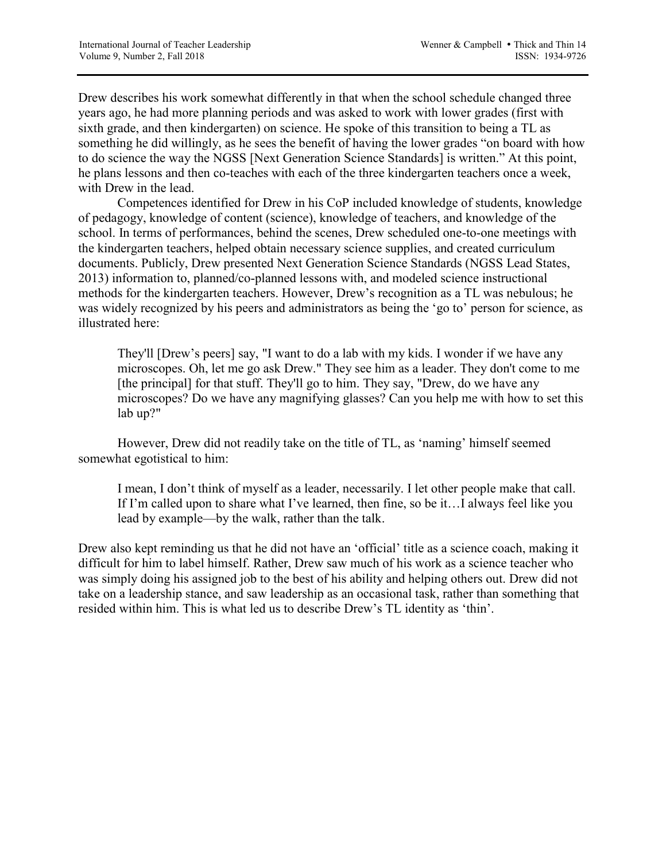Drew describes his work somewhat differently in that when the school schedule changed three years ago, he had more planning periods and was asked to work with lower grades (first with sixth grade, and then kindergarten) on science. He spoke of this transition to being a TL as something he did willingly, as he sees the benefit of having the lower grades "on board with how to do science the way the NGSS [Next Generation Science Standards] is written." At this point, he plans lessons and then co-teaches with each of the three kindergarten teachers once a week, with Drew in the lead.

Competences identified for Drew in his CoP included knowledge of students, knowledge of pedagogy, knowledge of content (science), knowledge of teachers, and knowledge of the school. In terms of performances, behind the scenes, Drew scheduled one-to-one meetings with the kindergarten teachers, helped obtain necessary science supplies, and created curriculum documents. Publicly, Drew presented Next Generation Science Standards (NGSS Lead States, 2013) information to, planned/co-planned lessons with, and modeled science instructional methods for the kindergarten teachers. However, Drew's recognition as a TL was nebulous; he was widely recognized by his peers and administrators as being the 'go to' person for science, as illustrated here:

They'll [Drew's peers] say, "I want to do a lab with my kids. I wonder if we have any microscopes. Oh, let me go ask Drew." They see him as a leader. They don't come to me [the principal] for that stuff. They'll go to him. They say, "Drew, do we have any microscopes? Do we have any magnifying glasses? Can you help me with how to set this lab up?"

However, Drew did not readily take on the title of TL, as 'naming' himself seemed somewhat egotistical to him:

I mean, I don't think of myself as a leader, necessarily. I let other people make that call. If I'm called upon to share what I've learned, then fine, so be it…I always feel like you lead by example—by the walk, rather than the talk.

Drew also kept reminding us that he did not have an 'official' title as a science coach, making it difficult for him to label himself. Rather, Drew saw much of his work as a science teacher who was simply doing his assigned job to the best of his ability and helping others out. Drew did not take on a leadership stance, and saw leadership as an occasional task, rather than something that resided within him. This is what led us to describe Drew's TL identity as 'thin'.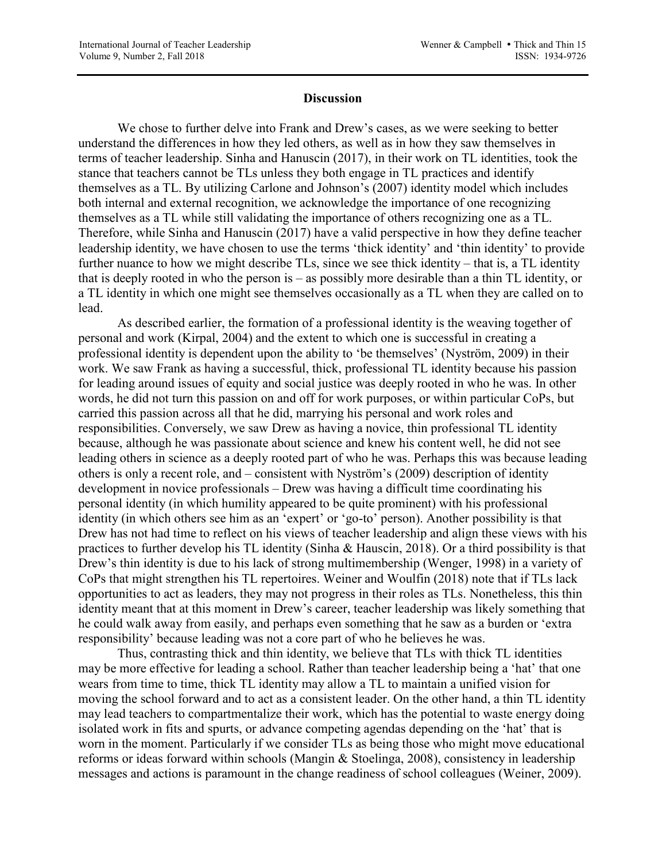### **Discussion**

We chose to further delve into Frank and Drew's cases, as we were seeking to better understand the differences in how they led others, as well as in how they saw themselves in terms of teacher leadership. Sinha and Hanuscin (2017), in their work on TL identities, took the stance that teachers cannot be TLs unless they both engage in TL practices and identify themselves as a TL. By utilizing Carlone and Johnson's (2007) identity model which includes both internal and external recognition, we acknowledge the importance of one recognizing themselves as a TL while still validating the importance of others recognizing one as a TL. Therefore, while Sinha and Hanuscin (2017) have a valid perspective in how they define teacher leadership identity, we have chosen to use the terms 'thick identity' and 'thin identity' to provide further nuance to how we might describe TLs, since we see thick identity – that is, a TL identity that is deeply rooted in who the person is – as possibly more desirable than a thin TL identity, or a TL identity in which one might see themselves occasionally as a TL when they are called on to lead.

As described earlier, the formation of a professional identity is the weaving together of personal and work (Kirpal, 2004) and the extent to which one is successful in creating a professional identity is dependent upon the ability to 'be themselves' (Nyström, 2009) in their work. We saw Frank as having a successful, thick, professional TL identity because his passion for leading around issues of equity and social justice was deeply rooted in who he was. In other words, he did not turn this passion on and off for work purposes, or within particular CoPs, but carried this passion across all that he did, marrying his personal and work roles and responsibilities. Conversely, we saw Drew as having a novice, thin professional TL identity because, although he was passionate about science and knew his content well, he did not see leading others in science as a deeply rooted part of who he was. Perhaps this was because leading others is only a recent role, and – consistent with Nyström's (2009) description of identity development in novice professionals – Drew was having a difficult time coordinating his personal identity (in which humility appeared to be quite prominent) with his professional identity (in which others see him as an 'expert' or 'go-to' person). Another possibility is that Drew has not had time to reflect on his views of teacher leadership and align these views with his practices to further develop his TL identity (Sinha & Hauscin, 2018). Or a third possibility is that Drew's thin identity is due to his lack of strong multimembership (Wenger, 1998) in a variety of CoPs that might strengthen his TL repertoires. Weiner and Woulfin (2018) note that if TLs lack opportunities to act as leaders, they may not progress in their roles as TLs. Nonetheless, this thin identity meant that at this moment in Drew's career, teacher leadership was likely something that he could walk away from easily, and perhaps even something that he saw as a burden or 'extra responsibility' because leading was not a core part of who he believes he was.

Thus, contrasting thick and thin identity, we believe that TLs with thick TL identities may be more effective for leading a school. Rather than teacher leadership being a 'hat' that one wears from time to time, thick TL identity may allow a TL to maintain a unified vision for moving the school forward and to act as a consistent leader. On the other hand, a thin TL identity may lead teachers to compartmentalize their work, which has the potential to waste energy doing isolated work in fits and spurts, or advance competing agendas depending on the 'hat' that is worn in the moment. Particularly if we consider TLs as being those who might move educational reforms or ideas forward within schools (Mangin & Stoelinga, 2008), consistency in leadership messages and actions is paramount in the change readiness of school colleagues (Weiner, 2009).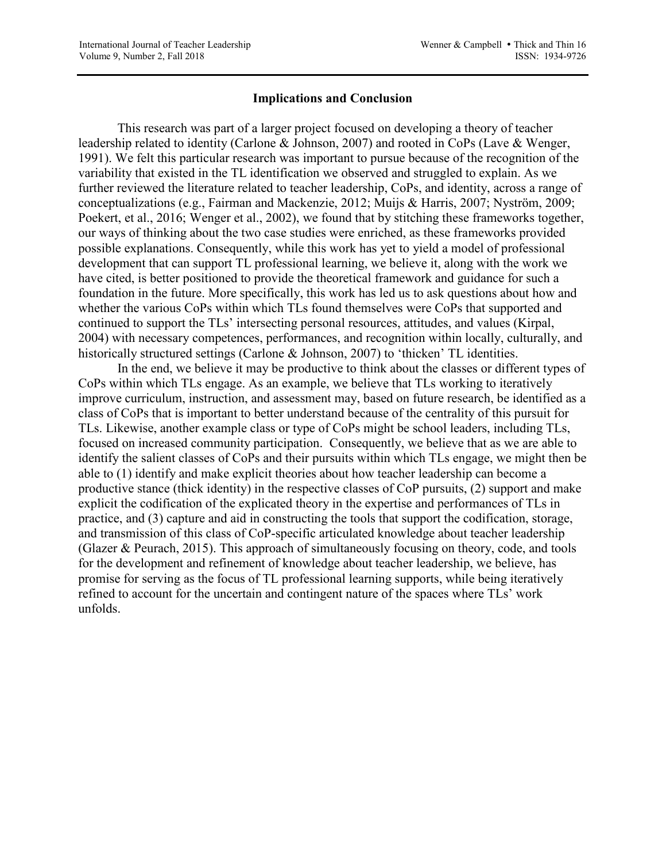### **Implications and Conclusion**

This research was part of a larger project focused on developing a theory of teacher leadership related to identity (Carlone & Johnson, 2007) and rooted in CoPs (Lave & Wenger, 1991). We felt this particular research was important to pursue because of the recognition of the variability that existed in the TL identification we observed and struggled to explain. As we further reviewed the literature related to teacher leadership, CoPs, and identity, across a range of conceptualizations (e.g., Fairman and Mackenzie, 2012; Muijs & Harris, 2007; Nyström, 2009; Poekert, et al., 2016; Wenger et al., 2002), we found that by stitching these frameworks together, our ways of thinking about the two case studies were enriched, as these frameworks provided possible explanations. Consequently, while this work has yet to yield a model of professional development that can support TL professional learning, we believe it, along with the work we have cited, is better positioned to provide the theoretical framework and guidance for such a foundation in the future. More specifically, this work has led us to ask questions about how and whether the various CoPs within which TLs found themselves were CoPs that supported and continued to support the TLs' intersecting personal resources, attitudes, and values (Kirpal, 2004) with necessary competences, performances, and recognition within locally, culturally, and historically structured settings (Carlone & Johnson, 2007) to 'thicken' TL identities.

In the end, we believe it may be productive to think about the classes or different types of CoPs within which TLs engage. As an example, we believe that TLs working to iteratively improve curriculum, instruction, and assessment may, based on future research, be identified as a class of CoPs that is important to better understand because of the centrality of this pursuit for TLs. Likewise, another example class or type of CoPs might be school leaders, including TLs, focused on increased community participation. Consequently, we believe that as we are able to identify the salient classes of CoPs and their pursuits within which TLs engage, we might then be able to (1) identify and make explicit theories about how teacher leadership can become a productive stance (thick identity) in the respective classes of CoP pursuits, (2) support and make explicit the codification of the explicated theory in the expertise and performances of TLs in practice, and (3) capture and aid in constructing the tools that support the codification, storage, and transmission of this class of CoP-specific articulated knowledge about teacher leadership (Glazer & Peurach, 2015). This approach of simultaneously focusing on theory, code, and tools for the development and refinement of knowledge about teacher leadership, we believe, has promise for serving as the focus of TL professional learning supports, while being iteratively refined to account for the uncertain and contingent nature of the spaces where TLs' work unfolds.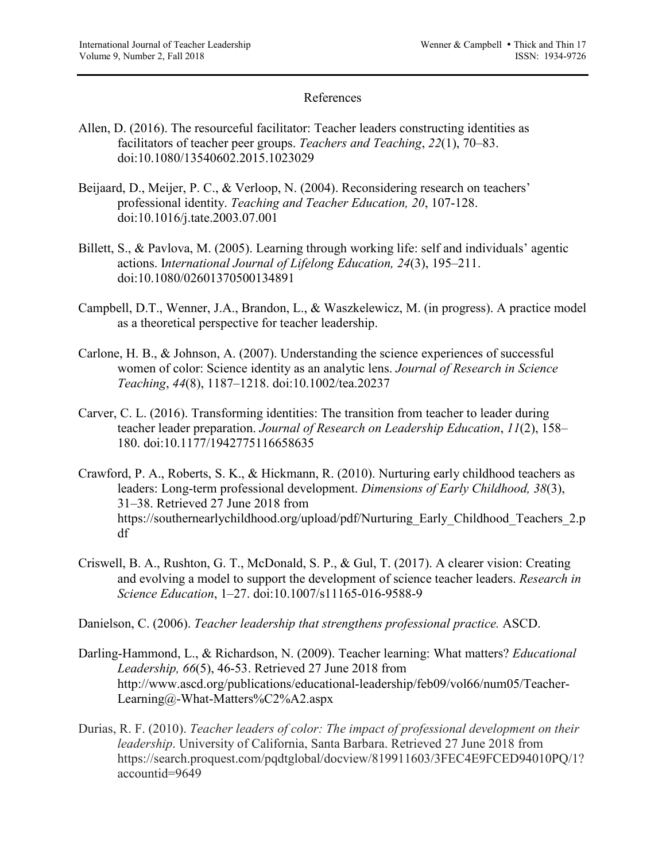# References

- Allen, D. (2016). The resourceful facilitator: Teacher leaders constructing identities as facilitators of teacher peer groups. *Teachers and Teaching*, *22*(1), 70–83. doi:10.1080/13540602.2015.1023029
- Beijaard, D., Meijer, P. C., & Verloop, N. (2004). Reconsidering research on teachers' professional identity. *Teaching and Teacher Education, 20*, 107-128. doi:10.1016/j.tate.2003.07.001
- Billett, S., & Pavlova, M. (2005). Learning through working life: self and individuals' agentic actions. I*nternational Journal of Lifelong Education, 24*(3), 195–211. doi:10.1080/02601370500134891
- Campbell, D.T., Wenner, J.A., Brandon, L., & Waszkelewicz, M. (in progress). A practice model as a theoretical perspective for teacher leadership.
- Carlone, H. B., & Johnson, A. (2007). Understanding the science experiences of successful women of color: Science identity as an analytic lens. *Journal of Research in Science Teaching*, *44*(8), 1187–1218. doi:10.1002/tea.20237
- Carver, C. L. (2016). Transforming identities: The transition from teacher to leader during teacher leader preparation. *Journal of Research on Leadership Education*, *11*(2), 158– 180. doi:10.1177/1942775116658635
- Crawford, P. A., Roberts, S. K., & Hickmann, R. (2010). Nurturing early childhood teachers as leaders: Long-term professional development. *Dimensions of Early Childhood, 38*(3), 31–38. Retrieved 27 June 2018 from https://southernearlychildhood.org/upload/pdf/Nurturing\_Early\_Childhood\_Teachers\_2.p df
- Criswell, B. A., Rushton, G. T., McDonald, S. P., & Gul, T. (2017). A clearer vision: Creating and evolving a model to support the development of science teacher leaders. *Research in Science Education*, 1–27. doi:10.1007/s11165-016-9588-9
- Danielson, C. (2006). *Teacher leadership that strengthens professional practice.* ASCD.
- Darling-Hammond, L., & Richardson, N. (2009). Teacher learning: What matters? *Educational Leadership, 66*(5), 46-53. Retrieved 27 June 2018 from http://www.ascd.org/publications/educational-leadership/feb09/vol66/num05/Teacher-Learning@-What-Matters%C2%A2.aspx
- Durias, R. F. (2010). *Teacher leaders of color: The impact of professional development on their leadership*. University of California, Santa Barbara. Retrieved 27 June 2018 from https://search.proquest.com/pqdtglobal/docview/819911603/3FEC4E9FCED94010PQ/1? accountid=9649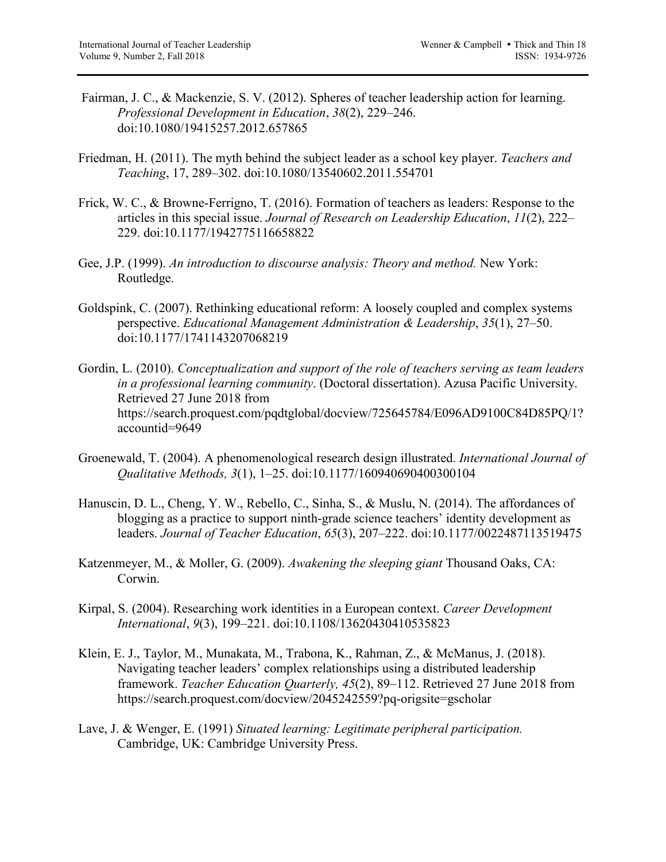- Fairman, J. C., & Mackenzie, S. V. (2012). Spheres of teacher leadership action for learning. *Professional Development in Education*, *38*(2), 229–246. doi:10.1080/19415257.2012.657865
- Friedman, H. (2011). The myth behind the subject leader as a school key player. *Teachers and Teaching*, 17, 289–302. doi:10.1080/13540602.2011.554701
- Frick, W. C., & Browne-Ferrigno, T. (2016). Formation of teachers as leaders: Response to the articles in this special issue. *Journal of Research on Leadership Education*, *11*(2), 222– 229. doi:10.1177/1942775116658822
- Gee, J.P. (1999). *An introduction to discourse analysis: Theory and method.* New York: Routledge.
- Goldspink, C. (2007). Rethinking educational reform: A loosely coupled and complex systems perspective. *Educational Management Administration & Leadership*, *35*(1), 27–50. doi:10.1177/1741143207068219
- Gordin, L. (2010). *Conceptualization and support of the role of teachers serving as team leaders in a professional learning community*. (Doctoral dissertation). Azusa Pacific University. Retrieved 27 June 2018 from https://search.proquest.com/pqdtglobal/docview/725645784/E096AD9100C84D85PQ/1? accountid=9649
- Groenewald, T. (2004). A phenomenological research design illustrated. *International Journal of Qualitative Methods, 3*(1), 1–25. doi:10.1177/160940690400300104
- Hanuscin, D. L., Cheng, Y. W., Rebello, C., Sinha, S., & Muslu, N. (2014). The affordances of blogging as a practice to support ninth-grade science teachers' identity development as leaders. *Journal of Teacher Education*, *65*(3), 207–222. doi:10.1177/0022487113519475
- Katzenmeyer, M., & Moller, G. (2009). *Awakening the sleeping giant* Thousand Oaks, CA: Corwin.
- Kirpal, S. (2004). Researching work identities in a European context. *Career Development International*, *9*(3), 199–221. doi:10.1108/13620430410535823
- Klein, E. J., Taylor, M., Munakata, M., Trabona, K., Rahman, Z., & McManus, J. (2018). Navigating teacher leaders' complex relationships using a distributed leadership framework. *Teacher Education Quarterly, 45*(2), 89–112. Retrieved 27 June 2018 from https://search.proquest.com/docview/2045242559?pq-origsite=gscholar
- Lave, J. & Wenger, E. (1991) *Situated learning: Legitimate peripheral participation.*  Cambridge, UK: Cambridge University Press.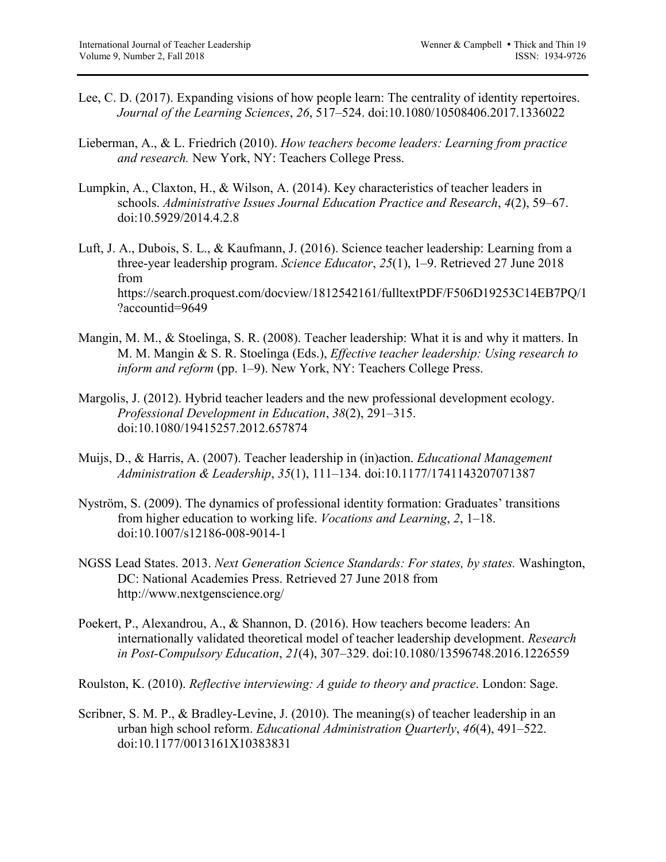- Lee, C. D. (2017). Expanding visions of how people learn: The centrality of identity repertoires. *Journal of the Learning Sciences*, *26*, 517–524. doi:10.1080/10508406.2017.1336022
- Lieberman, A., & L. Friedrich (2010). *How teachers become leaders: Learning from practice and research.* New York, NY: Teachers College Press.
- Lumpkin, A., Claxton, H., & Wilson, A. (2014). Key characteristics of teacher leaders in schools. *Administrative Issues Journal Education Practice and Research*, *4*(2), 59–67. doi:10.5929/2014.4.2.8
- Luft, J. A., Dubois, S. L., & Kaufmann, J. (2016). Science teacher leadership: Learning from a three-year leadership program. *Science Educator*, *25*(1), 1–9. Retrieved 27 June 2018 from https://search.proquest.com/docview/1812542161/fulltextPDF/F506D19253C14EB7PQ/1 ?accountid=9649
- Mangin, M. M., & Stoelinga, S. R. (2008). Teacher leadership: What it is and why it matters. In M. M. Mangin & S. R. Stoelinga (Eds.), *Effective teacher leadership: Using research to inform and reform* (pp. 1–9). New York, NY: Teachers College Press.
- Margolis, J. (2012). Hybrid teacher leaders and the new professional development ecology. *Professional Development in Education*, *38*(2), 291–315. doi:10.1080/19415257.2012.657874
- Muijs, D., & Harris, A. (2007). Teacher leadership in (in)action. *Educational Management Administration & Leadership*, *35*(1), 111–134. doi:10.1177/1741143207071387
- Nyström, S. (2009). The dynamics of professional identity formation: Graduates' transitions from higher education to working life. *Vocations and Learning*, *2*, 1–18. doi:10.1007/s12186-008-9014-1
- NGSS Lead States. 2013. *Next Generation Science Standards: For states, by states.* Washington, DC: National Academies Press. Retrieved 27 June 2018 from http://www.nextgenscience.org/
- Poekert, P., Alexandrou, A., & Shannon, D. (2016). How teachers become leaders: An internationally validated theoretical model of teacher leadership development. *Research in Post-Compulsory Education*, *21*(4), 307–329. doi:10.1080/13596748.2016.1226559
- Roulston, K. (2010). *Reflective interviewing: A guide to theory and practice*. London: Sage.
- Scribner, S. M. P., & Bradley-Levine, J. (2010). The meaning(s) of teacher leadership in an urban high school reform. *Educational Administration Quarterly*, *46*(4), 491–522. doi:10.1177/0013161X10383831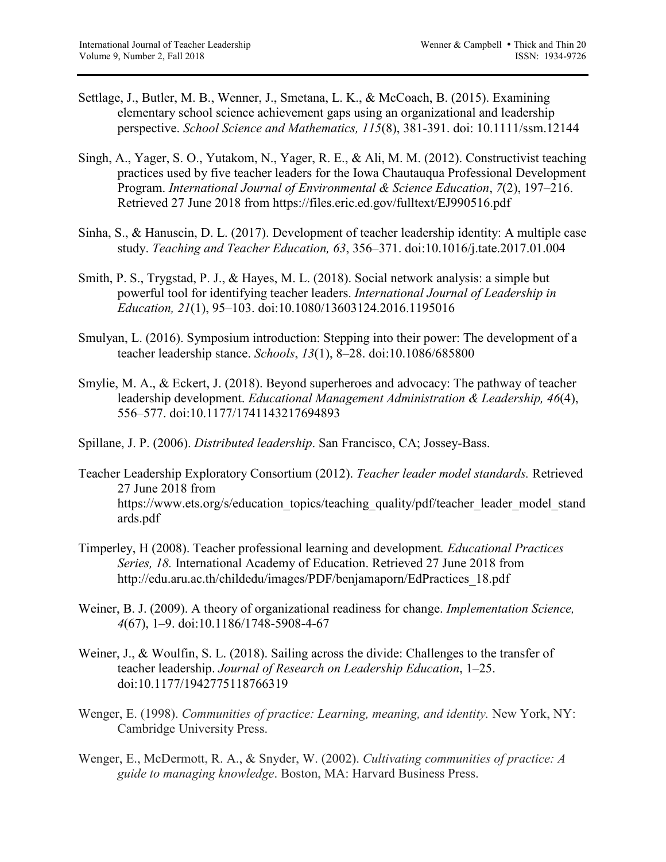- Settlage, J., Butler, M. B., Wenner, J., Smetana, L. K., & McCoach, B. (2015). Examining elementary school science achievement gaps using an organizational and leadership perspective. *School Science and Mathematics, 115*(8), 381-391. doi: 10.1111/ssm.12144
- Singh, A., Yager, S. O., Yutakom, N., Yager, R. E., & Ali, M. M. (2012). Constructivist teaching practices used by five teacher leaders for the Iowa Chautauqua Professional Development Program. *International Journal of Environmental & Science Education*, *7*(2), 197–216. Retrieved 27 June 2018 from https://files.eric.ed.gov/fulltext/EJ990516.pdf
- Sinha, S., & Hanuscin, D. L. (2017). Development of teacher leadership identity: A multiple case study. *Teaching and Teacher Education, 63*, 356–371. doi:10.1016/j.tate.2017.01.004
- Smith, P. S., Trygstad, P. J., & Hayes, M. L. (2018). Social network analysis: a simple but powerful tool for identifying teacher leaders. *International Journal of Leadership in Education, 21*(1), 95–103. doi:10.1080/13603124.2016.1195016
- Smulyan, L. (2016). Symposium introduction: Stepping into their power: The development of a teacher leadership stance. *Schools*, *13*(1), 8–28. doi:10.1086/685800
- Smylie, M. A., & Eckert, J. (2018). Beyond superheroes and advocacy: The pathway of teacher leadership development. *Educational Management Administration & Leadership, 46*(4), 556–577. doi:10.1177/1741143217694893
- Spillane, J. P. (2006). *Distributed leadership*. San Francisco, CA; Jossey-Bass.
- Teacher Leadership Exploratory Consortium (2012). *Teacher leader model standards.* Retrieved 27 June 2018 from https://www.ets.org/s/education\_topics/teaching\_quality/pdf/teacher\_leader\_model\_stand ards.pdf
- Timperley, H (2008). Teacher professional learning and development*. Educational Practices Series, 18.* International Academy of Education. Retrieved 27 June 2018 from http://edu.aru.ac.th/childedu/images/PDF/benjamaporn/EdPractices\_18.pdf
- Weiner, B. J. (2009). A theory of organizational readiness for change. *Implementation Science, 4*(67), 1–9. doi:10.1186/1748-5908-4-67
- Weiner, J., & Woulfin, S. L. (2018). Sailing across the divide: Challenges to the transfer of teacher leadership. *Journal of Research on Leadership Education*, 1–25. doi:10.1177/1942775118766319
- Wenger, E. (1998). *Communities of practice: Learning, meaning, and identity.* New York, NY: Cambridge University Press.
- Wenger, E., McDermott, R. A., & Snyder, W. (2002). *Cultivating communities of practice: A guide to managing knowledge*. Boston, MA: Harvard Business Press.